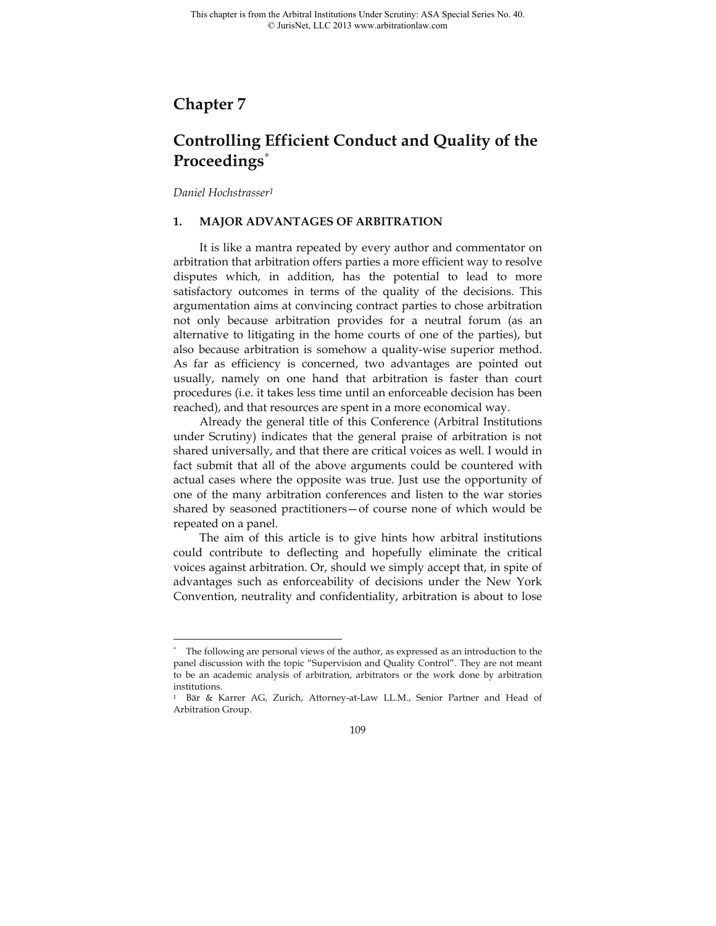# **Chapter 7**

# **Controlling Efficient Conduct and Quality of the Proceedings**<sup>∗</sup>

*Daniel Hochstrasser1*

-

## **1. MAJOR ADVANTAGES OF ARBITRATION**

It is like a mantra repeated by every author and commentator on arbitration that arbitration offers parties a more efficient way to resolve disputes which, in addition, has the potential to lead to more satisfactory outcomes in terms of the quality of the decisions. This argumentation aims at convincing contract parties to chose arbitration not only because arbitration provides for a neutral forum (as an alternative to litigating in the home courts of one of the parties), but also because arbitration is somehow a quality-wise superior method. As far as efficiency is concerned, two advantages are pointed out usually, namely on one hand that arbitration is faster than court procedures (i.e. it takes less time until an enforceable decision has been reached), and that resources are spent in a more economical way.

Already the general title of this Conference (Arbitral Institutions under Scrutiny) indicates that the general praise of arbitration is not shared universally, and that there are critical voices as well. I would in fact submit that all of the above arguments could be countered with actual cases where the opposite was true. Just use the opportunity of one of the many arbitration conferences and listen to the war stories shared by seasoned practitioners—of course none of which would be repeated on a panel.

The aim of this article is to give hints how arbitral institutions could contribute to deflecting and hopefully eliminate the critical voices against arbitration. Or, should we simply accept that, in spite of advantages such as enforceability of decisions under the New York Convention, neutrality and confidentiality, arbitration is about to lose

<sup>∗</sup> The following are personal views of the author, as expressed as an introduction to the panel discussion with the topic "Supervision and Quality Control". They are not meant to be an academic analysis of arbitration, arbitrators or the work done by arbitration institutions.

<sup>1</sup> Bär & Karrer AG, Zurich, Attorney-at-Law LL.M., Senior Partner and Head of Arbitration Group.

<sup>109</sup>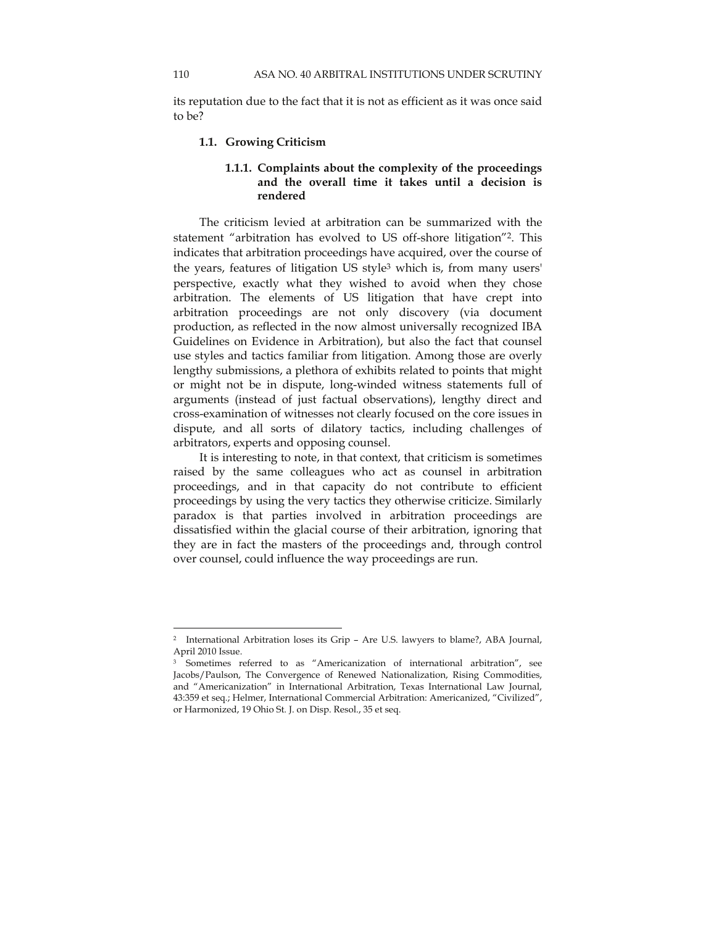its reputation due to the fact that it is not as efficient as it was once said to be?

#### **1.1. Growing Criticism**

# **1.1.1. Complaints about the complexity of the proceedings and the overall time it takes until a decision is rendered**

The criticism levied at arbitration can be summarized with the statement "arbitration has evolved to US off-shore litigation"2. This indicates that arbitration proceedings have acquired, over the course of the years, features of litigation US style3 which is, from many users' perspective, exactly what they wished to avoid when they chose arbitration. The elements of US litigation that have crept into arbitration proceedings are not only discovery (via document production, as reflected in the now almost universally recognized IBA Guidelines on Evidence in Arbitration), but also the fact that counsel use styles and tactics familiar from litigation. Among those are overly lengthy submissions, a plethora of exhibits related to points that might or might not be in dispute, long-winded witness statements full of arguments (instead of just factual observations), lengthy direct and cross-examination of witnesses not clearly focused on the core issues in dispute, and all sorts of dilatory tactics, including challenges of arbitrators, experts and opposing counsel.

It is interesting to note, in that context, that criticism is sometimes raised by the same colleagues who act as counsel in arbitration proceedings, and in that capacity do not contribute to efficient proceedings by using the very tactics they otherwise criticize. Similarly paradox is that parties involved in arbitration proceedings are dissatisfied within the glacial course of their arbitration, ignoring that they are in fact the masters of the proceedings and, through control over counsel, could influence the way proceedings are run.

1

<sup>2</sup> International Arbitration loses its Grip – Are U.S. lawyers to blame?, ABA Journal, April 2010 Issue.

<sup>3</sup> Sometimes referred to as "Americanization of international arbitration", see Jacobs/Paulson, The Convergence of Renewed Nationalization, Rising Commodities, and "Americanization" in International Arbitration, Texas International Law Journal, 43:359 et seq.; Helmer, International Commercial Arbitration: Americanized, "Civilized", or Harmonized, 19 Ohio St. J. on Disp. Resol., 35 et seq.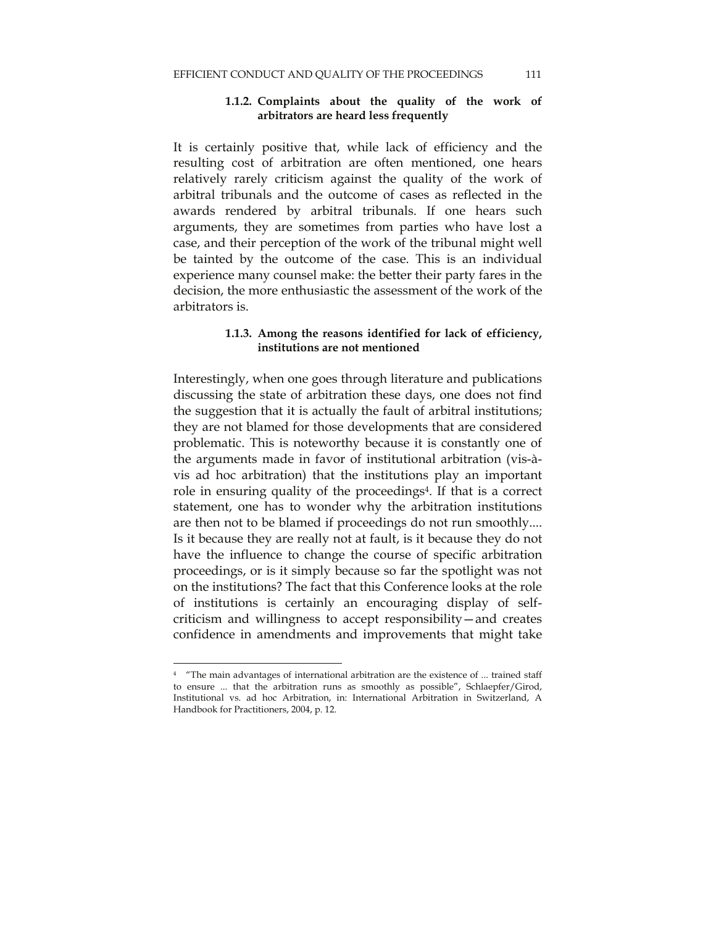# **1.1.2. Complaints about the quality of the work of arbitrators are heard less frequently**

It is certainly positive that, while lack of efficiency and the resulting cost of arbitration are often mentioned, one hears relatively rarely criticism against the quality of the work of arbitral tribunals and the outcome of cases as reflected in the awards rendered by arbitral tribunals. If one hears such arguments, they are sometimes from parties who have lost a case, and their perception of the work of the tribunal might well be tainted by the outcome of the case. This is an individual experience many counsel make: the better their party fares in the decision, the more enthusiastic the assessment of the work of the arbitrators is.

# **1.1.3. Among the reasons identified for lack of efficiency, institutions are not mentioned**

Interestingly, when one goes through literature and publications discussing the state of arbitration these days, one does not find the suggestion that it is actually the fault of arbitral institutions; they are not blamed for those developments that are considered problematic. This is noteworthy because it is constantly one of the arguments made in favor of institutional arbitration (vis-àvis ad hoc arbitration) that the institutions play an important role in ensuring quality of the proceedings4. If that is a correct statement, one has to wonder why the arbitration institutions are then not to be blamed if proceedings do not run smoothly.... Is it because they are really not at fault, is it because they do not have the influence to change the course of specific arbitration proceedings, or is it simply because so far the spotlight was not on the institutions? The fact that this Conference looks at the role of institutions is certainly an encouraging display of selfcriticism and willingness to accept responsibility—and creates confidence in amendments and improvements that might take

<sup>4 &</sup>quot;The main advantages of international arbitration are the existence of ... trained staff to ensure ... that the arbitration runs as smoothly as possible", Schlaepfer/Girod, Institutional vs. ad hoc Arbitration, in: International Arbitration in Switzerland, A Handbook for Practitioners, 2004, p. 12.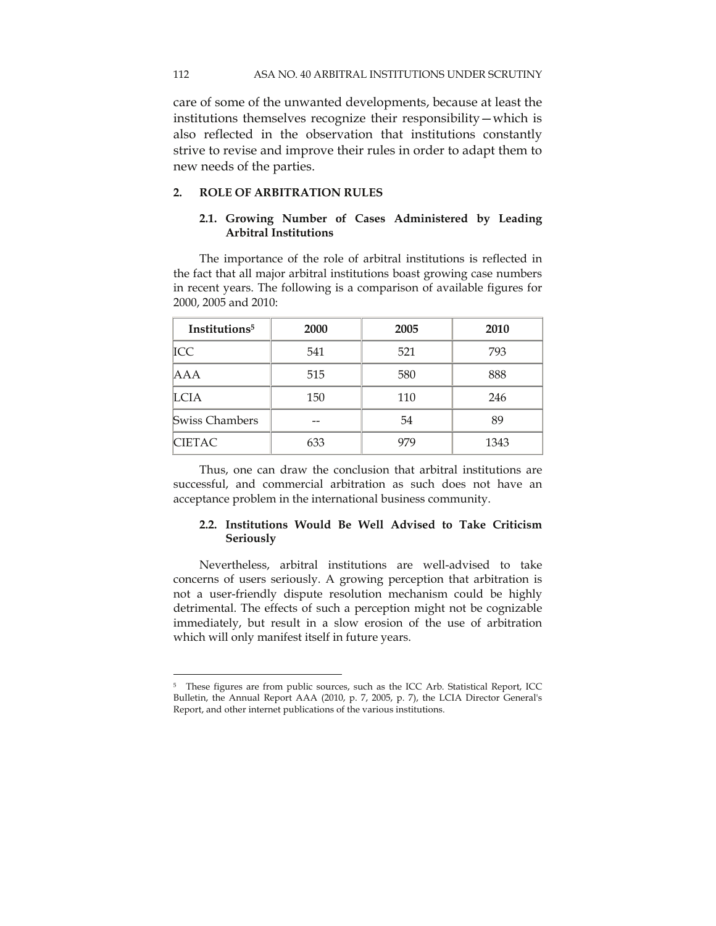care of some of the unwanted developments, because at least the institutions themselves recognize their responsibility—which is also reflected in the observation that institutions constantly strive to revise and improve their rules in order to adapt them to new needs of the parties.

# **2. ROLE OF ARBITRATION RULES**

# **2.1. Growing Number of Cases Administered by Leading Arbitral Institutions**

The importance of the role of arbitral institutions is reflected in the fact that all major arbitral institutions boast growing case numbers in recent years. The following is a comparison of available figures for 2000, 2005 and 2010:

| Institutions <sup>5</sup> | 2000 | 2005 | 2010 |
|---------------------------|------|------|------|
| <b>ICC</b>                | 541  | 521  | 793  |
| AAA                       | 515  | 580  | 888  |
| <b>LCIA</b>               | 150  | 110  | 246  |
| <b>Swiss Chambers</b>     |      | 54   | 89   |
| <b>CIETAC</b>             | 633  | 979  | 1343 |

Thus, one can draw the conclusion that arbitral institutions are successful, and commercial arbitration as such does not have an acceptance problem in the international business community.

# **2.2. Institutions Would Be Well Advised to Take Criticism Seriously**

Nevertheless, arbitral institutions are well-advised to take concerns of users seriously. A growing perception that arbitration is not a user-friendly dispute resolution mechanism could be highly detrimental. The effects of such a perception might not be cognizable immediately, but result in a slow erosion of the use of arbitration which will only manifest itself in future years.

<sup>5</sup> These figures are from public sources, such as the ICC Arb. Statistical Report, ICC Bulletin, the Annual Report AAA (2010, p. 7, 2005, p. 7), the LCIA Director General's Report, and other internet publications of the various institutions.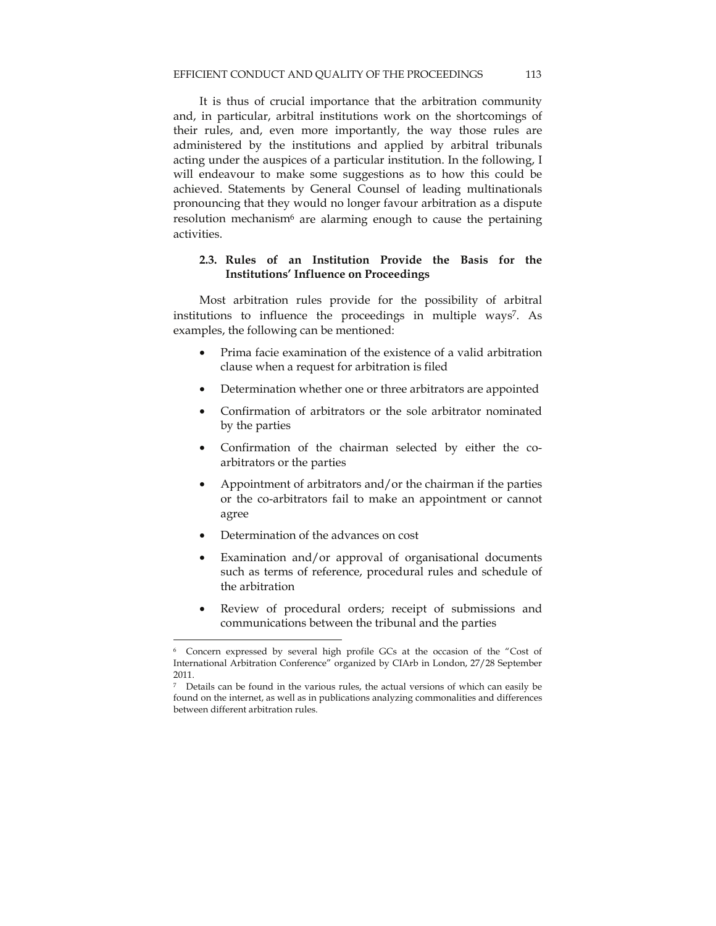It is thus of crucial importance that the arbitration community and, in particular, arbitral institutions work on the shortcomings of their rules, and, even more importantly, the way those rules are administered by the institutions and applied by arbitral tribunals acting under the auspices of a particular institution. In the following, I will endeavour to make some suggestions as to how this could be achieved. Statements by General Counsel of leading multinationals pronouncing that they would no longer favour arbitration as a dispute resolution mechanism<sup>6</sup> are alarming enough to cause the pertaining activities.

# **2.3. Rules of an Institution Provide the Basis for the Institutions' Influence on Proceedings**

Most arbitration rules provide for the possibility of arbitral institutions to influence the proceedings in multiple ways<sup>7</sup>. As examples, the following can be mentioned:

- Prima facie examination of the existence of a valid arbitration clause when a request for arbitration is filed
- Determination whether one or three arbitrators are appointed
- Confirmation of arbitrators or the sole arbitrator nominated by the parties
- Confirmation of the chairman selected by either the coarbitrators or the parties
- Appointment of arbitrators and/or the chairman if the parties or the co-arbitrators fail to make an appointment or cannot agree
- Determination of the advances on cost

- Examination and/or approval of organisational documents such as terms of reference, procedural rules and schedule of the arbitration
- Review of procedural orders; receipt of submissions and communications between the tribunal and the parties

<sup>6</sup> Concern expressed by several high profile GCs at the occasion of the "Cost of International Arbitration Conference" organized by CIArb in London, 27/28 September 2011.

<sup>7</sup> Details can be found in the various rules, the actual versions of which can easily be found on the internet, as well as in publications analyzing commonalities and differences between different arbitration rules.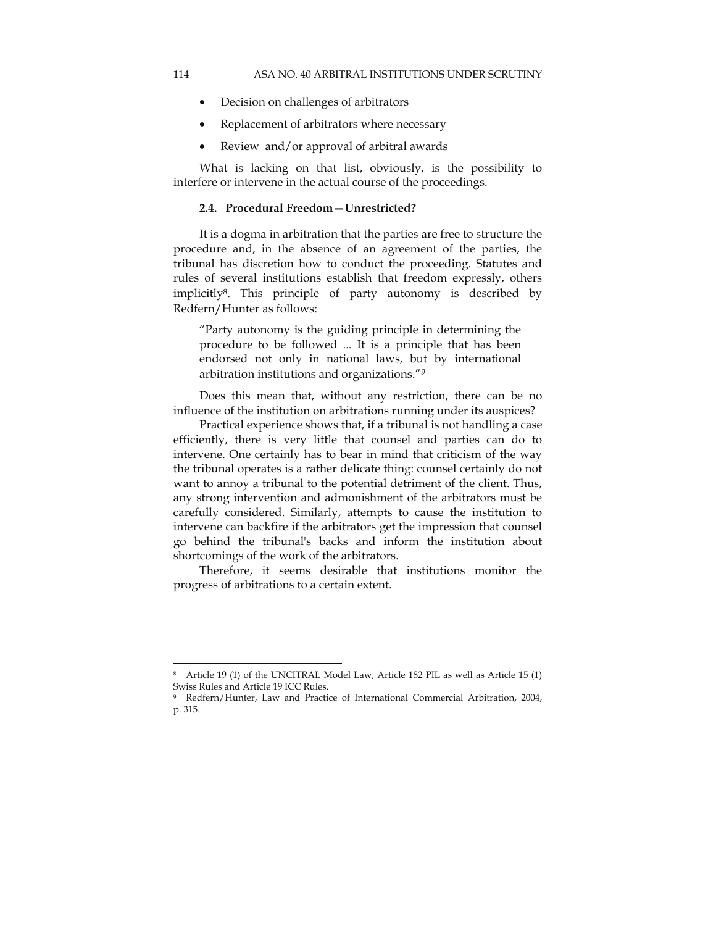- Decision on challenges of arbitrators
- Replacement of arbitrators where necessary
- Review and/or approval of arbitral awards

What is lacking on that list, obviously, is the possibility to interfere or intervene in the actual course of the proceedings.

#### **2.4. Procedural Freedom—Unrestricted?**

It is a dogma in arbitration that the parties are free to structure the procedure and, in the absence of an agreement of the parties, the tribunal has discretion how to conduct the proceeding. Statutes and rules of several institutions establish that freedom expressly, others implicitly8. This principle of party autonomy is described by Redfern/Hunter as follows:

"Party autonomy is the guiding principle in determining the procedure to be followed ... It is a principle that has been endorsed not only in national laws, but by international arbitration institutions and organizations."*<sup>9</sup>*

Does this mean that, without any restriction, there can be no influence of the institution on arbitrations running under its auspices?

Practical experience shows that, if a tribunal is not handling a case efficiently, there is very little that counsel and parties can do to intervene. One certainly has to bear in mind that criticism of the way the tribunal operates is a rather delicate thing: counsel certainly do not want to annoy a tribunal to the potential detriment of the client. Thus, any strong intervention and admonishment of the arbitrators must be carefully considered. Similarly, attempts to cause the institution to intervene can backfire if the arbitrators get the impression that counsel go behind the tribunal's backs and inform the institution about shortcomings of the work of the arbitrators.

Therefore, it seems desirable that institutions monitor the progress of arbitrations to a certain extent.

<sup>8</sup> Article 19 (1) of the UNCITRAL Model Law, Article 182 PIL as well as Article 15 (1) Swiss Rules and Article 19 ICC Rules.

<sup>9</sup> Redfern/Hunter, Law and Practice of International Commercial Arbitration, 2004, p. 315.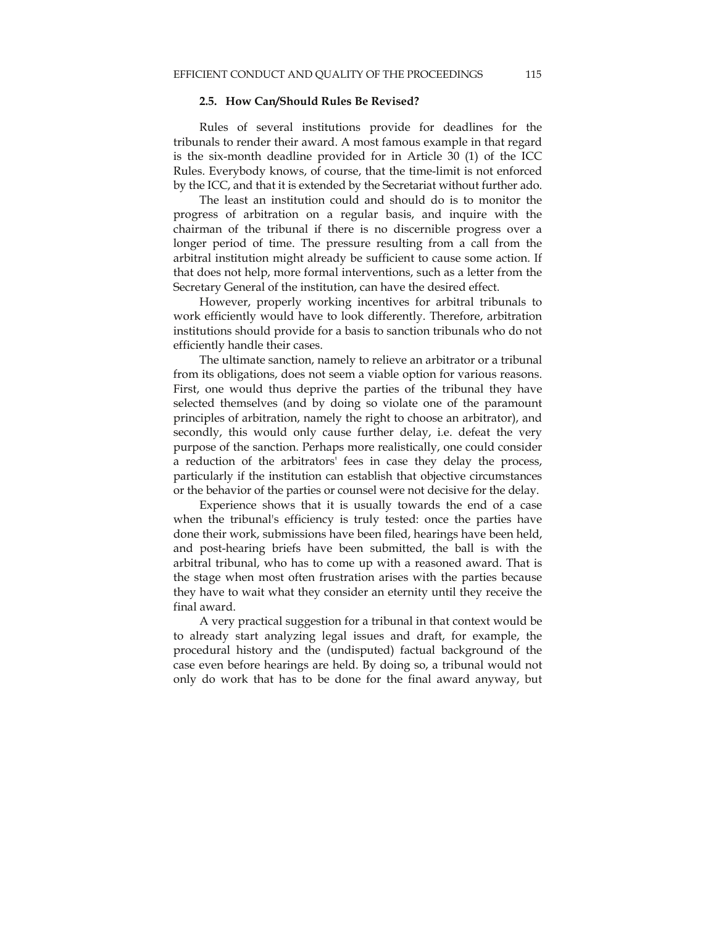#### **2.5. How Can/Should Rules Be Revised?**

Rules of several institutions provide for deadlines for the tribunals to render their award. A most famous example in that regard is the six-month deadline provided for in Article 30 (1) of the ICC Rules. Everybody knows, of course, that the time-limit is not enforced by the ICC, and that it is extended by the Secretariat without further ado.

The least an institution could and should do is to monitor the progress of arbitration on a regular basis, and inquire with the chairman of the tribunal if there is no discernible progress over a longer period of time. The pressure resulting from a call from the arbitral institution might already be sufficient to cause some action. If that does not help, more formal interventions, such as a letter from the Secretary General of the institution, can have the desired effect.

However, properly working incentives for arbitral tribunals to work efficiently would have to look differently. Therefore, arbitration institutions should provide for a basis to sanction tribunals who do not efficiently handle their cases.

The ultimate sanction, namely to relieve an arbitrator or a tribunal from its obligations, does not seem a viable option for various reasons. First, one would thus deprive the parties of the tribunal they have selected themselves (and by doing so violate one of the paramount principles of arbitration, namely the right to choose an arbitrator), and secondly, this would only cause further delay, i.e. defeat the very purpose of the sanction. Perhaps more realistically, one could consider a reduction of the arbitrators' fees in case they delay the process, particularly if the institution can establish that objective circumstances or the behavior of the parties or counsel were not decisive for the delay.

Experience shows that it is usually towards the end of a case when the tribunal's efficiency is truly tested: once the parties have done their work, submissions have been filed, hearings have been held, and post-hearing briefs have been submitted, the ball is with the arbitral tribunal, who has to come up with a reasoned award. That is the stage when most often frustration arises with the parties because they have to wait what they consider an eternity until they receive the final award.

A very practical suggestion for a tribunal in that context would be to already start analyzing legal issues and draft, for example, the procedural history and the (undisputed) factual background of the case even before hearings are held. By doing so, a tribunal would not only do work that has to be done for the final award anyway, but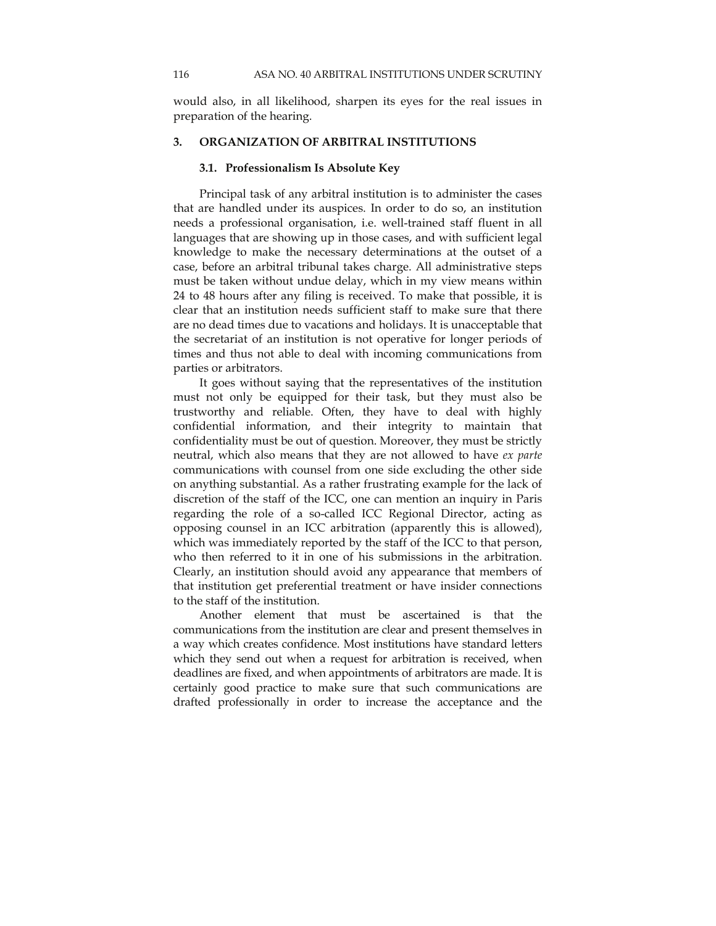would also, in all likelihood, sharpen its eyes for the real issues in preparation of the hearing.

# **3. ORGANIZATION OF ARBITRAL INSTITUTIONS**

#### **3.1. Professionalism Is Absolute Key**

Principal task of any arbitral institution is to administer the cases that are handled under its auspices. In order to do so, an institution needs a professional organisation, i.e. well-trained staff fluent in all languages that are showing up in those cases, and with sufficient legal knowledge to make the necessary determinations at the outset of a case, before an arbitral tribunal takes charge. All administrative steps must be taken without undue delay, which in my view means within 24 to 48 hours after any filing is received. To make that possible, it is clear that an institution needs sufficient staff to make sure that there are no dead times due to vacations and holidays. It is unacceptable that the secretariat of an institution is not operative for longer periods of times and thus not able to deal with incoming communications from parties or arbitrators.

It goes without saying that the representatives of the institution must not only be equipped for their task, but they must also be trustworthy and reliable. Often, they have to deal with highly confidential information, and their integrity to maintain that confidentiality must be out of question. Moreover, they must be strictly neutral, which also means that they are not allowed to have *ex parte* communications with counsel from one side excluding the other side on anything substantial. As a rather frustrating example for the lack of discretion of the staff of the ICC, one can mention an inquiry in Paris regarding the role of a so-called ICC Regional Director, acting as opposing counsel in an ICC arbitration (apparently this is allowed), which was immediately reported by the staff of the ICC to that person, who then referred to it in one of his submissions in the arbitration. Clearly, an institution should avoid any appearance that members of that institution get preferential treatment or have insider connections to the staff of the institution.

Another element that must be ascertained is that the communications from the institution are clear and present themselves in a way which creates confidence. Most institutions have standard letters which they send out when a request for arbitration is received, when deadlines are fixed, and when appointments of arbitrators are made. It is certainly good practice to make sure that such communications are drafted professionally in order to increase the acceptance and the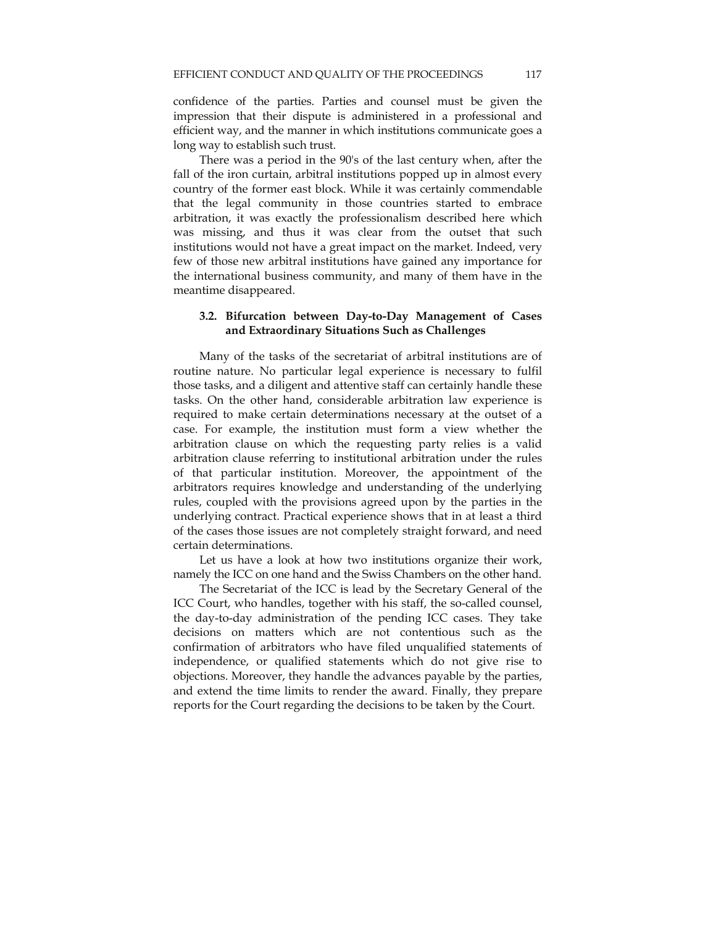confidence of the parties. Parties and counsel must be given the impression that their dispute is administered in a professional and efficient way, and the manner in which institutions communicate goes a long way to establish such trust.

There was a period in the 90's of the last century when, after the fall of the iron curtain, arbitral institutions popped up in almost every country of the former east block. While it was certainly commendable that the legal community in those countries started to embrace arbitration, it was exactly the professionalism described here which was missing, and thus it was clear from the outset that such institutions would not have a great impact on the market. Indeed, very few of those new arbitral institutions have gained any importance for the international business community, and many of them have in the meantime disappeared.

# **3.2. Bifurcation between Day-to-Day Management of Cases and Extraordinary Situations Such as Challenges**

Many of the tasks of the secretariat of arbitral institutions are of routine nature. No particular legal experience is necessary to fulfil those tasks, and a diligent and attentive staff can certainly handle these tasks. On the other hand, considerable arbitration law experience is required to make certain determinations necessary at the outset of a case. For example, the institution must form a view whether the arbitration clause on which the requesting party relies is a valid arbitration clause referring to institutional arbitration under the rules of that particular institution. Moreover, the appointment of the arbitrators requires knowledge and understanding of the underlying rules, coupled with the provisions agreed upon by the parties in the underlying contract. Practical experience shows that in at least a third of the cases those issues are not completely straight forward, and need certain determinations.

Let us have a look at how two institutions organize their work, namely the ICC on one hand and the Swiss Chambers on the other hand.

The Secretariat of the ICC is lead by the Secretary General of the ICC Court, who handles, together with his staff, the so-called counsel, the day-to-day administration of the pending ICC cases. They take decisions on matters which are not contentious such as the confirmation of arbitrators who have filed unqualified statements of independence, or qualified statements which do not give rise to objections. Moreover, they handle the advances payable by the parties, and extend the time limits to render the award. Finally, they prepare reports for the Court regarding the decisions to be taken by the Court.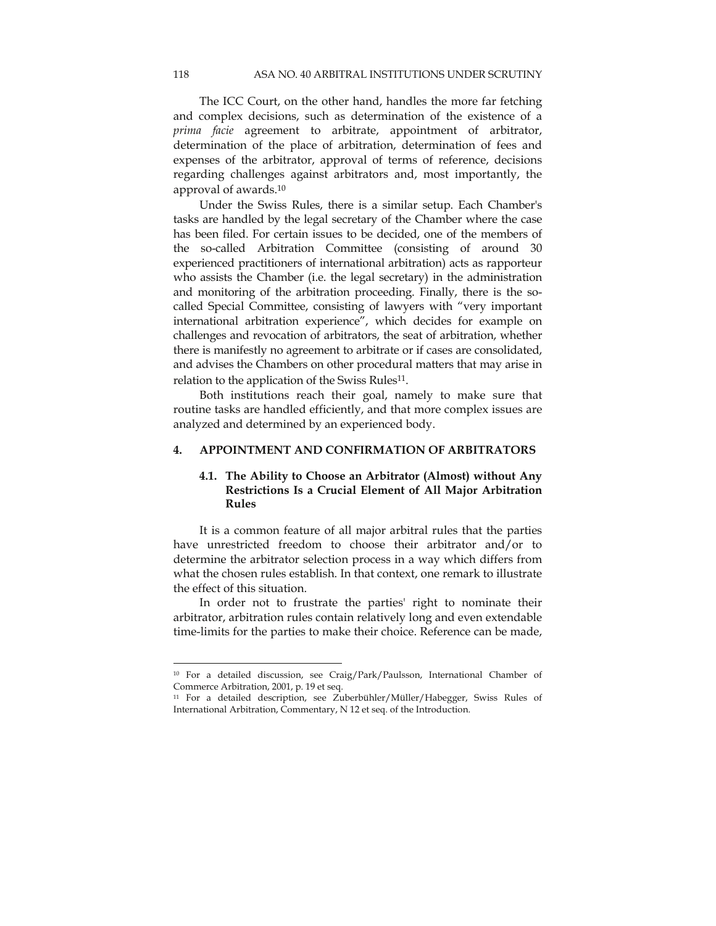The ICC Court, on the other hand, handles the more far fetching and complex decisions, such as determination of the existence of a *prima facie* agreement to arbitrate, appointment of arbitrator, determination of the place of arbitration, determination of fees and expenses of the arbitrator, approval of terms of reference, decisions regarding challenges against arbitrators and, most importantly, the approval of awards.10

Under the Swiss Rules, there is a similar setup. Each Chamber's tasks are handled by the legal secretary of the Chamber where the case has been filed. For certain issues to be decided, one of the members of the so-called Arbitration Committee (consisting of around 30 experienced practitioners of international arbitration) acts as rapporteur who assists the Chamber (i.e. the legal secretary) in the administration and monitoring of the arbitration proceeding. Finally, there is the socalled Special Committee, consisting of lawyers with "very important international arbitration experience", which decides for example on challenges and revocation of arbitrators, the seat of arbitration, whether there is manifestly no agreement to arbitrate or if cases are consolidated, and advises the Chambers on other procedural matters that may arise in relation to the application of the Swiss Rules<sup>11</sup>.

Both institutions reach their goal, namely to make sure that routine tasks are handled efficiently, and that more complex issues are analyzed and determined by an experienced body.

# **4. APPOINTMENT AND CONFIRMATION OF ARBITRATORS**

# **4.1. The Ability to Choose an Arbitrator (Almost) without Any Restrictions Is a Crucial Element of All Major Arbitration Rules**

It is a common feature of all major arbitral rules that the parties have unrestricted freedom to choose their arbitrator and/or to determine the arbitrator selection process in a way which differs from what the chosen rules establish. In that context, one remark to illustrate the effect of this situation.

In order not to frustrate the parties' right to nominate their arbitrator, arbitration rules contain relatively long and even extendable time-limits for the parties to make their choice. Reference can be made,

<sup>10</sup> For a detailed discussion, see Craig/Park/Paulsson, International Chamber of Commerce Arbitration, 2001, p. 19 et seq.

<sup>11</sup> For a detailed description, see Zuberbühler/Müller/Habegger, Swiss Rules of International Arbitration, Commentary, N 12 et seq. of the Introduction.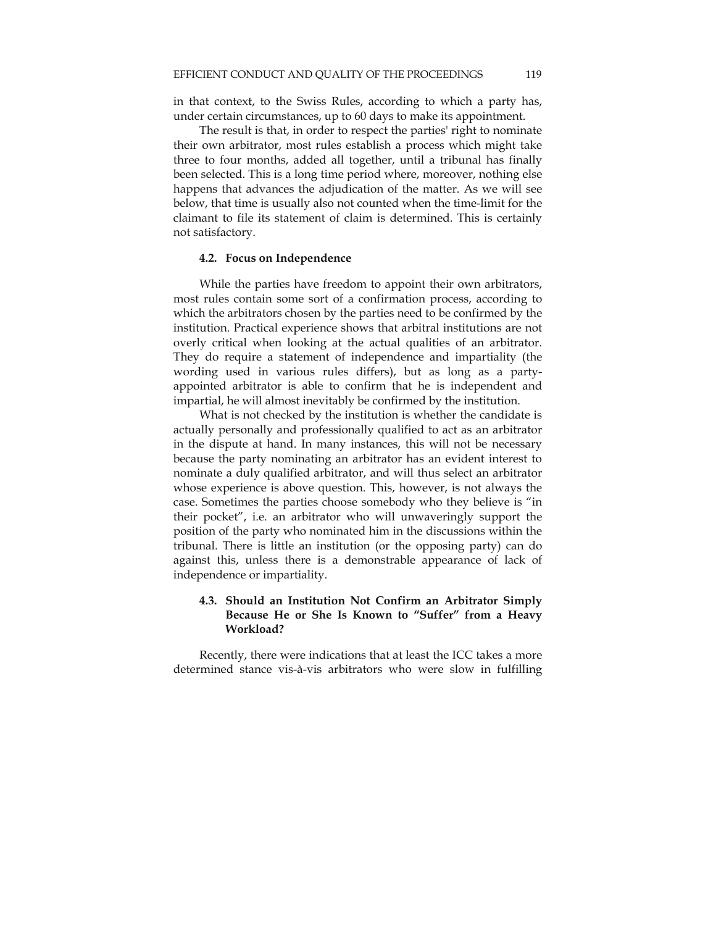in that context, to the Swiss Rules, according to which a party has, under certain circumstances, up to 60 days to make its appointment.

The result is that, in order to respect the parties' right to nominate their own arbitrator, most rules establish a process which might take three to four months, added all together, until a tribunal has finally been selected. This is a long time period where, moreover, nothing else happens that advances the adjudication of the matter. As we will see below, that time is usually also not counted when the time-limit for the claimant to file its statement of claim is determined. This is certainly not satisfactory.

#### **4.2. Focus on Independence**

While the parties have freedom to appoint their own arbitrators, most rules contain some sort of a confirmation process, according to which the arbitrators chosen by the parties need to be confirmed by the institution. Practical experience shows that arbitral institutions are not overly critical when looking at the actual qualities of an arbitrator. They do require a statement of independence and impartiality (the wording used in various rules differs), but as long as a partyappointed arbitrator is able to confirm that he is independent and impartial, he will almost inevitably be confirmed by the institution.

What is not checked by the institution is whether the candidate is actually personally and professionally qualified to act as an arbitrator in the dispute at hand. In many instances, this will not be necessary because the party nominating an arbitrator has an evident interest to nominate a duly qualified arbitrator, and will thus select an arbitrator whose experience is above question. This, however, is not always the case. Sometimes the parties choose somebody who they believe is "in their pocket", i.e. an arbitrator who will unwaveringly support the position of the party who nominated him in the discussions within the tribunal. There is little an institution (or the opposing party) can do against this, unless there is a demonstrable appearance of lack of independence or impartiality.

# **4.3. Should an Institution Not Confirm an Arbitrator Simply Because He or She Is Known to "Suffer" from a Heavy Workload?**

Recently, there were indications that at least the ICC takes a more determined stance vis-à-vis arbitrators who were slow in fulfilling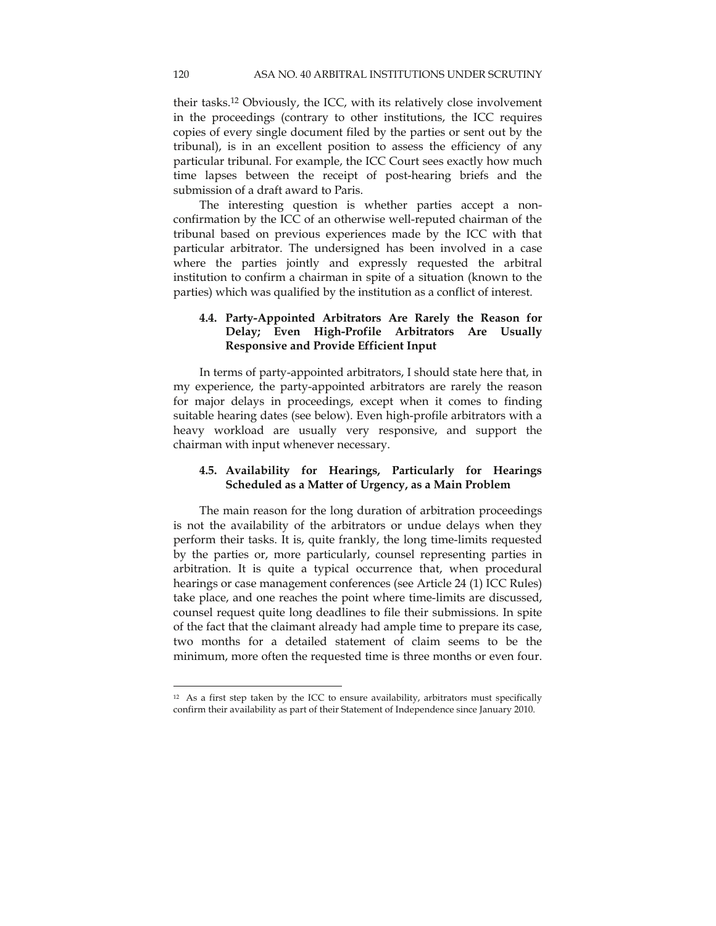their tasks.12 Obviously, the ICC, with its relatively close involvement in the proceedings (contrary to other institutions, the ICC requires copies of every single document filed by the parties or sent out by the tribunal), is in an excellent position to assess the efficiency of any particular tribunal. For example, the ICC Court sees exactly how much time lapses between the receipt of post-hearing briefs and the submission of a draft award to Paris.

The interesting question is whether parties accept a nonconfirmation by the ICC of an otherwise well-reputed chairman of the tribunal based on previous experiences made by the ICC with that particular arbitrator. The undersigned has been involved in a case where the parties jointly and expressly requested the arbitral institution to confirm a chairman in spite of a situation (known to the parties) which was qualified by the institution as a conflict of interest.

# **4.4. Party-Appointed Arbitrators Are Rarely the Reason for Delay; Even High-Profile Arbitrators Are Usually Responsive and Provide Efficient Input**

In terms of party-appointed arbitrators, I should state here that, in my experience, the party-appointed arbitrators are rarely the reason for major delays in proceedings, except when it comes to finding suitable hearing dates (see below). Even high-profile arbitrators with a heavy workload are usually very responsive, and support the chairman with input whenever necessary.

# **4.5. Availability for Hearings, Particularly for Hearings Scheduled as a Matter of Urgency, as a Main Problem**

The main reason for the long duration of arbitration proceedings is not the availability of the arbitrators or undue delays when they perform their tasks. It is, quite frankly, the long time-limits requested by the parties or, more particularly, counsel representing parties in arbitration. It is quite a typical occurrence that, when procedural hearings or case management conferences (see Article 24 (1) ICC Rules) take place, and one reaches the point where time-limits are discussed, counsel request quite long deadlines to file their submissions. In spite of the fact that the claimant already had ample time to prepare its case, two months for a detailed statement of claim seems to be the minimum, more often the requested time is three months or even four.

<sup>&</sup>lt;sup>12</sup> As a first step taken by the ICC to ensure availability, arbitrators must specifically confirm their availability as part of their Statement of Independence since January 2010.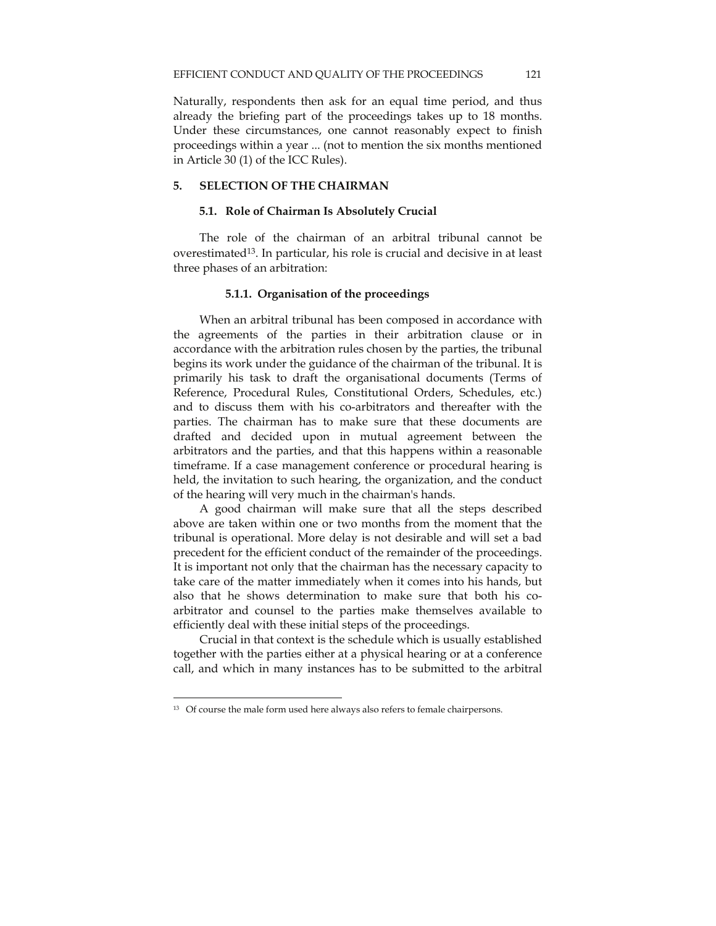Naturally, respondents then ask for an equal time period, and thus already the briefing part of the proceedings takes up to 18 months. Under these circumstances, one cannot reasonably expect to finish proceedings within a year ... (not to mention the six months mentioned in Article 30 (1) of the ICC Rules).

### **5. SELECTION OF THE CHAIRMAN**

#### **5.1. Role of Chairman Is Absolutely Crucial**

The role of the chairman of an arbitral tribunal cannot be overestimated13. In particular, his role is crucial and decisive in at least three phases of an arbitration:

# **5.1.1. Organisation of the proceedings**

When an arbitral tribunal has been composed in accordance with the agreements of the parties in their arbitration clause or in accordance with the arbitration rules chosen by the parties, the tribunal begins its work under the guidance of the chairman of the tribunal. It is primarily his task to draft the organisational documents (Terms of Reference, Procedural Rules, Constitutional Orders, Schedules, etc.) and to discuss them with his co-arbitrators and thereafter with the parties. The chairman has to make sure that these documents are drafted and decided upon in mutual agreement between the arbitrators and the parties, and that this happens within a reasonable timeframe. If a case management conference or procedural hearing is held, the invitation to such hearing, the organization, and the conduct of the hearing will very much in the chairman's hands.

A good chairman will make sure that all the steps described above are taken within one or two months from the moment that the tribunal is operational. More delay is not desirable and will set a bad precedent for the efficient conduct of the remainder of the proceedings. It is important not only that the chairman has the necessary capacity to take care of the matter immediately when it comes into his hands, but also that he shows determination to make sure that both his coarbitrator and counsel to the parties make themselves available to efficiently deal with these initial steps of the proceedings.

Crucial in that context is the schedule which is usually established together with the parties either at a physical hearing or at a conference call, and which in many instances has to be submitted to the arbitral

1

<sup>&</sup>lt;sup>13</sup> Of course the male form used here always also refers to female chairpersons.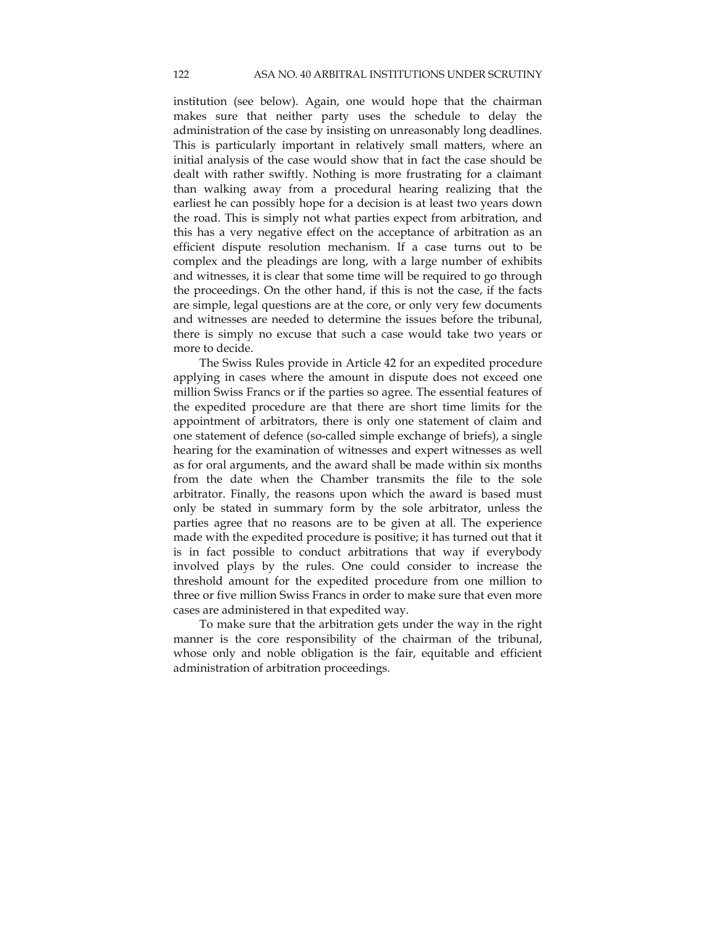institution (see below). Again, one would hope that the chairman makes sure that neither party uses the schedule to delay the administration of the case by insisting on unreasonably long deadlines. This is particularly important in relatively small matters, where an initial analysis of the case would show that in fact the case should be dealt with rather swiftly. Nothing is more frustrating for a claimant than walking away from a procedural hearing realizing that the earliest he can possibly hope for a decision is at least two years down the road. This is simply not what parties expect from arbitration, and this has a very negative effect on the acceptance of arbitration as an efficient dispute resolution mechanism. If a case turns out to be complex and the pleadings are long, with a large number of exhibits and witnesses, it is clear that some time will be required to go through the proceedings. On the other hand, if this is not the case, if the facts are simple, legal questions are at the core, or only very few documents and witnesses are needed to determine the issues before the tribunal, there is simply no excuse that such a case would take two years or more to decide.

The Swiss Rules provide in Article 42 for an expedited procedure applying in cases where the amount in dispute does not exceed one million Swiss Francs or if the parties so agree. The essential features of the expedited procedure are that there are short time limits for the appointment of arbitrators, there is only one statement of claim and one statement of defence (so-called simple exchange of briefs), a single hearing for the examination of witnesses and expert witnesses as well as for oral arguments, and the award shall be made within six months from the date when the Chamber transmits the file to the sole arbitrator. Finally, the reasons upon which the award is based must only be stated in summary form by the sole arbitrator, unless the parties agree that no reasons are to be given at all. The experience made with the expedited procedure is positive; it has turned out that it is in fact possible to conduct arbitrations that way if everybody involved plays by the rules. One could consider to increase the threshold amount for the expedited procedure from one million to three or five million Swiss Francs in order to make sure that even more cases are administered in that expedited way.

To make sure that the arbitration gets under the way in the right manner is the core responsibility of the chairman of the tribunal, whose only and noble obligation is the fair, equitable and efficient administration of arbitration proceedings.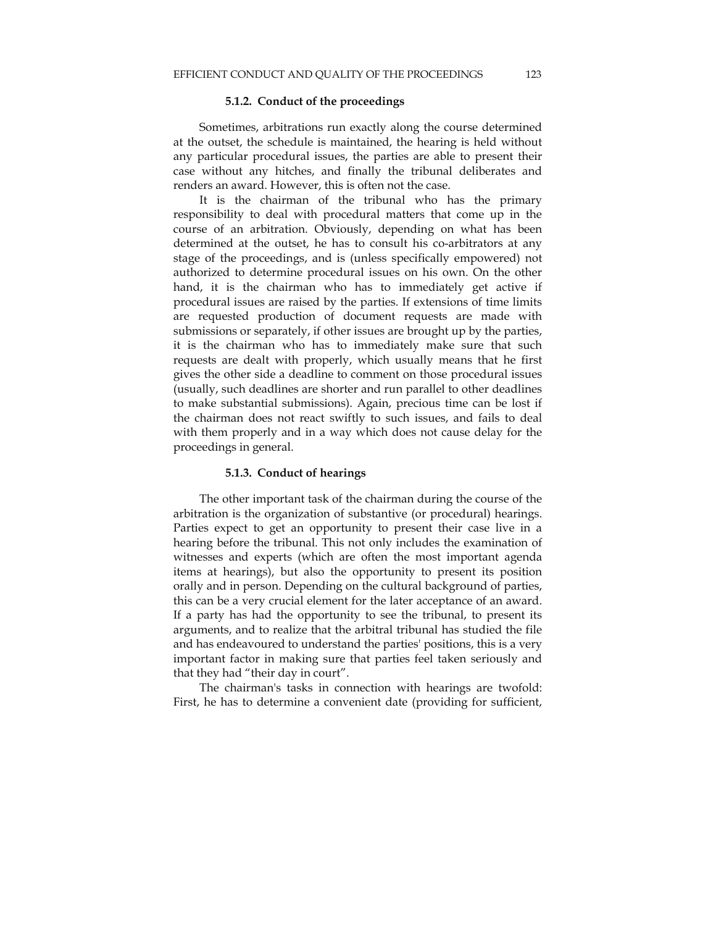#### **5.1.2. Conduct of the proceedings**

Sometimes, arbitrations run exactly along the course determined at the outset, the schedule is maintained, the hearing is held without any particular procedural issues, the parties are able to present their case without any hitches, and finally the tribunal deliberates and renders an award. However, this is often not the case.

It is the chairman of the tribunal who has the primary responsibility to deal with procedural matters that come up in the course of an arbitration. Obviously, depending on what has been determined at the outset, he has to consult his co-arbitrators at any stage of the proceedings, and is (unless specifically empowered) not authorized to determine procedural issues on his own. On the other hand, it is the chairman who has to immediately get active if procedural issues are raised by the parties. If extensions of time limits are requested production of document requests are made with submissions or separately, if other issues are brought up by the parties, it is the chairman who has to immediately make sure that such requests are dealt with properly, which usually means that he first gives the other side a deadline to comment on those procedural issues (usually, such deadlines are shorter and run parallel to other deadlines to make substantial submissions). Again, precious time can be lost if the chairman does not react swiftly to such issues, and fails to deal with them properly and in a way which does not cause delay for the proceedings in general.

#### **5.1.3. Conduct of hearings**

The other important task of the chairman during the course of the arbitration is the organization of substantive (or procedural) hearings. Parties expect to get an opportunity to present their case live in a hearing before the tribunal. This not only includes the examination of witnesses and experts (which are often the most important agenda items at hearings), but also the opportunity to present its position orally and in person. Depending on the cultural background of parties, this can be a very crucial element for the later acceptance of an award. If a party has had the opportunity to see the tribunal, to present its arguments, and to realize that the arbitral tribunal has studied the file and has endeavoured to understand the parties' positions, this is a very important factor in making sure that parties feel taken seriously and that they had "their day in court".

The chairman's tasks in connection with hearings are twofold: First, he has to determine a convenient date (providing for sufficient,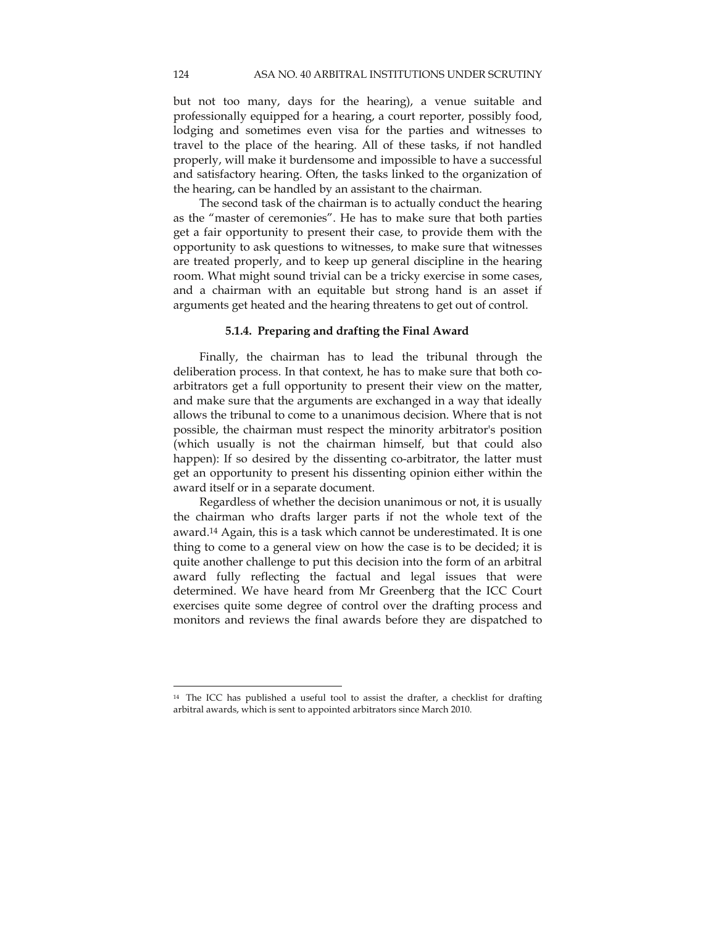but not too many, days for the hearing), a venue suitable and professionally equipped for a hearing, a court reporter, possibly food, lodging and sometimes even visa for the parties and witnesses to travel to the place of the hearing. All of these tasks, if not handled properly, will make it burdensome and impossible to have a successful and satisfactory hearing. Often, the tasks linked to the organization of the hearing, can be handled by an assistant to the chairman.

The second task of the chairman is to actually conduct the hearing as the "master of ceremonies". He has to make sure that both parties get a fair opportunity to present their case, to provide them with the opportunity to ask questions to witnesses, to make sure that witnesses are treated properly, and to keep up general discipline in the hearing room. What might sound trivial can be a tricky exercise in some cases, and a chairman with an equitable but strong hand is an asset if arguments get heated and the hearing threatens to get out of control.

#### **5.1.4. Preparing and drafting the Final Award**

Finally, the chairman has to lead the tribunal through the deliberation process. In that context, he has to make sure that both coarbitrators get a full opportunity to present their view on the matter, and make sure that the arguments are exchanged in a way that ideally allows the tribunal to come to a unanimous decision. Where that is not possible, the chairman must respect the minority arbitrator's position (which usually is not the chairman himself, but that could also happen): If so desired by the dissenting co-arbitrator, the latter must get an opportunity to present his dissenting opinion either within the award itself or in a separate document.

Regardless of whether the decision unanimous or not, it is usually the chairman who drafts larger parts if not the whole text of the award.14 Again, this is a task which cannot be underestimated. It is one thing to come to a general view on how the case is to be decided; it is quite another challenge to put this decision into the form of an arbitral award fully reflecting the factual and legal issues that were determined. We have heard from Mr Greenberg that the ICC Court exercises quite some degree of control over the drafting process and monitors and reviews the final awards before they are dispatched to

<sup>&</sup>lt;sup>14</sup> The ICC has published a useful tool to assist the drafter, a checklist for drafting arbitral awards, which is sent to appointed arbitrators since March 2010.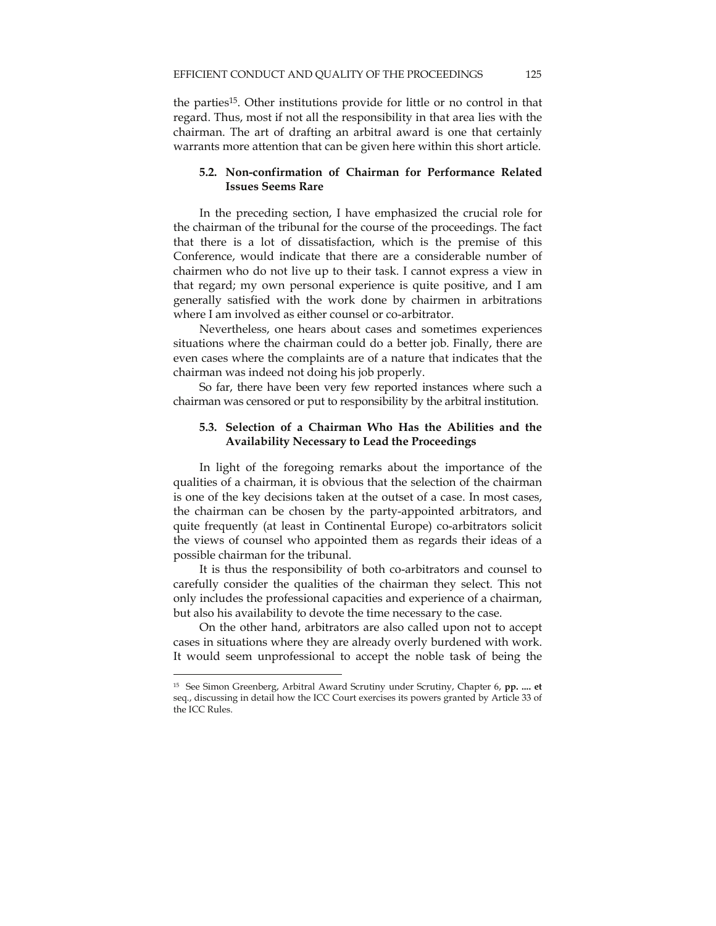the parties<sup>15</sup>. Other institutions provide for little or no control in that regard. Thus, most if not all the responsibility in that area lies with the chairman. The art of drafting an arbitral award is one that certainly warrants more attention that can be given here within this short article.

# **5.2. Non-confirmation of Chairman for Performance Related Issues Seems Rare**

In the preceding section, I have emphasized the crucial role for the chairman of the tribunal for the course of the proceedings. The fact that there is a lot of dissatisfaction, which is the premise of this Conference, would indicate that there are a considerable number of chairmen who do not live up to their task. I cannot express a view in that regard; my own personal experience is quite positive, and I am generally satisfied with the work done by chairmen in arbitrations where I am involved as either counsel or co-arbitrator.

Nevertheless, one hears about cases and sometimes experiences situations where the chairman could do a better job. Finally, there are even cases where the complaints are of a nature that indicates that the chairman was indeed not doing his job properly.

So far, there have been very few reported instances where such a chairman was censored or put to responsibility by the arbitral institution.

# **5.3. Selection of a Chairman Who Has the Abilities and the Availability Necessary to Lead the Proceedings**

In light of the foregoing remarks about the importance of the qualities of a chairman, it is obvious that the selection of the chairman is one of the key decisions taken at the outset of a case. In most cases, the chairman can be chosen by the party-appointed arbitrators, and quite frequently (at least in Continental Europe) co-arbitrators solicit the views of counsel who appointed them as regards their ideas of a possible chairman for the tribunal.

It is thus the responsibility of both co-arbitrators and counsel to carefully consider the qualities of the chairman they select. This not only includes the professional capacities and experience of a chairman, but also his availability to devote the time necessary to the case.

On the other hand, arbitrators are also called upon not to accept cases in situations where they are already overly burdened with work. It would seem unprofessional to accept the noble task of being the

1

<sup>15</sup> See Simon Greenberg, Arbitral Award Scrutiny under Scrutiny, Chapter 6, **pp. .... et** seq., discussing in detail how the ICC Court exercises its powers granted by Article 33 of the ICC Rules.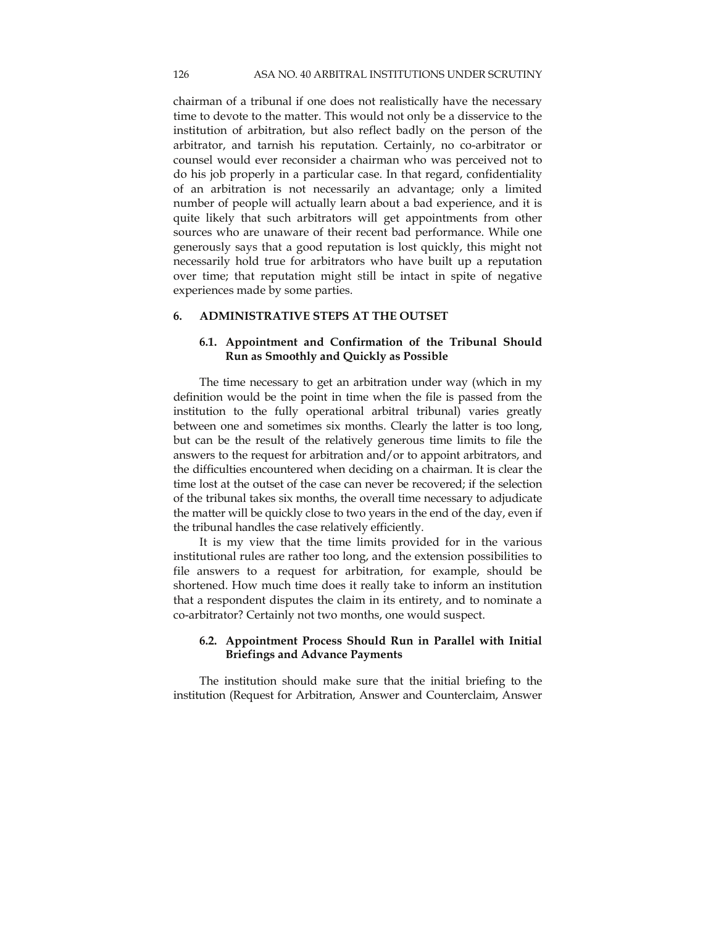chairman of a tribunal if one does not realistically have the necessary time to devote to the matter. This would not only be a disservice to the institution of arbitration, but also reflect badly on the person of the arbitrator, and tarnish his reputation. Certainly, no co-arbitrator or counsel would ever reconsider a chairman who was perceived not to do his job properly in a particular case. In that regard, confidentiality of an arbitration is not necessarily an advantage; only a limited number of people will actually learn about a bad experience, and it is quite likely that such arbitrators will get appointments from other sources who are unaware of their recent bad performance. While one generously says that a good reputation is lost quickly, this might not necessarily hold true for arbitrators who have built up a reputation over time; that reputation might still be intact in spite of negative experiences made by some parties.

# **6. ADMINISTRATIVE STEPS AT THE OUTSET**

# **6.1. Appointment and Confirmation of the Tribunal Should Run as Smoothly and Quickly as Possible**

The time necessary to get an arbitration under way (which in my definition would be the point in time when the file is passed from the institution to the fully operational arbitral tribunal) varies greatly between one and sometimes six months. Clearly the latter is too long, but can be the result of the relatively generous time limits to file the answers to the request for arbitration and/or to appoint arbitrators, and the difficulties encountered when deciding on a chairman. It is clear the time lost at the outset of the case can never be recovered; if the selection of the tribunal takes six months, the overall time necessary to adjudicate the matter will be quickly close to two years in the end of the day, even if the tribunal handles the case relatively efficiently.

It is my view that the time limits provided for in the various institutional rules are rather too long, and the extension possibilities to file answers to a request for arbitration, for example, should be shortened. How much time does it really take to inform an institution that a respondent disputes the claim in its entirety, and to nominate a co-arbitrator? Certainly not two months, one would suspect.

# **6.2. Appointment Process Should Run in Parallel with Initial Briefings and Advance Payments**

The institution should make sure that the initial briefing to the institution (Request for Arbitration, Answer and Counterclaim, Answer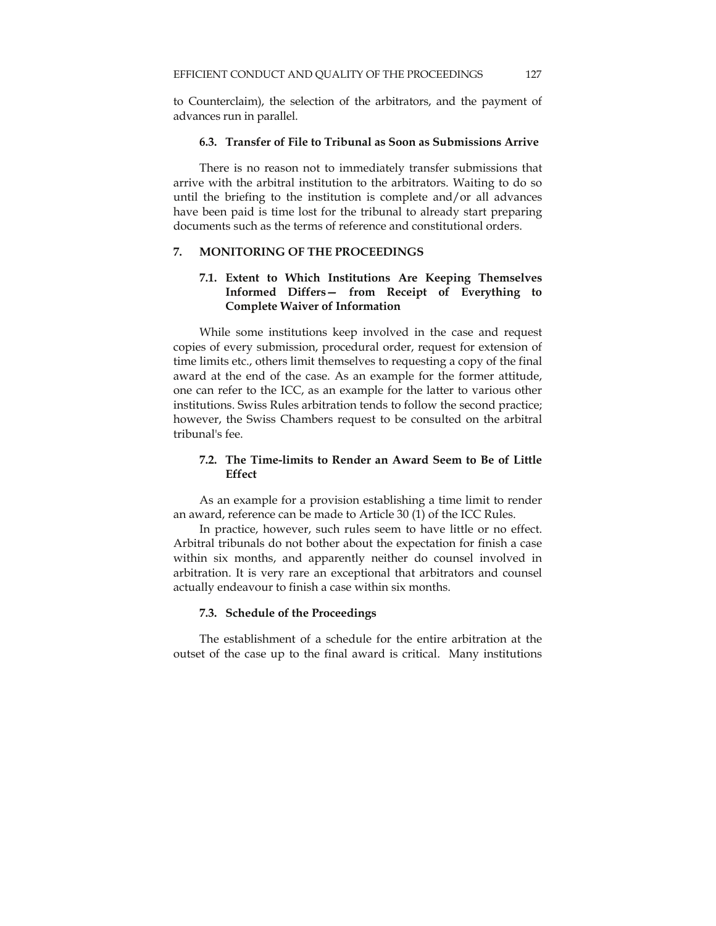to Counterclaim), the selection of the arbitrators, and the payment of advances run in parallel.

# **6.3. Transfer of File to Tribunal as Soon as Submissions Arrive**

There is no reason not to immediately transfer submissions that arrive with the arbitral institution to the arbitrators. Waiting to do so until the briefing to the institution is complete and/or all advances have been paid is time lost for the tribunal to already start preparing documents such as the terms of reference and constitutional orders.

## **7. MONITORING OF THE PROCEEDINGS**

# **7.1. Extent to Which Institutions Are Keeping Themselves Informed Differs— from Receipt of Everything to Complete Waiver of Information**

While some institutions keep involved in the case and request copies of every submission, procedural order, request for extension of time limits etc., others limit themselves to requesting a copy of the final award at the end of the case. As an example for the former attitude, one can refer to the ICC, as an example for the latter to various other institutions. Swiss Rules arbitration tends to follow the second practice; however, the Swiss Chambers request to be consulted on the arbitral tribunal's fee.

# **7.2. The Time-limits to Render an Award Seem to Be of Little Effect**

As an example for a provision establishing a time limit to render an award, reference can be made to Article 30 (1) of the ICC Rules.

In practice, however, such rules seem to have little or no effect. Arbitral tribunals do not bother about the expectation for finish a case within six months, and apparently neither do counsel involved in arbitration. It is very rare an exceptional that arbitrators and counsel actually endeavour to finish a case within six months.

### **7.3. Schedule of the Proceedings**

The establishment of a schedule for the entire arbitration at the outset of the case up to the final award is critical. Many institutions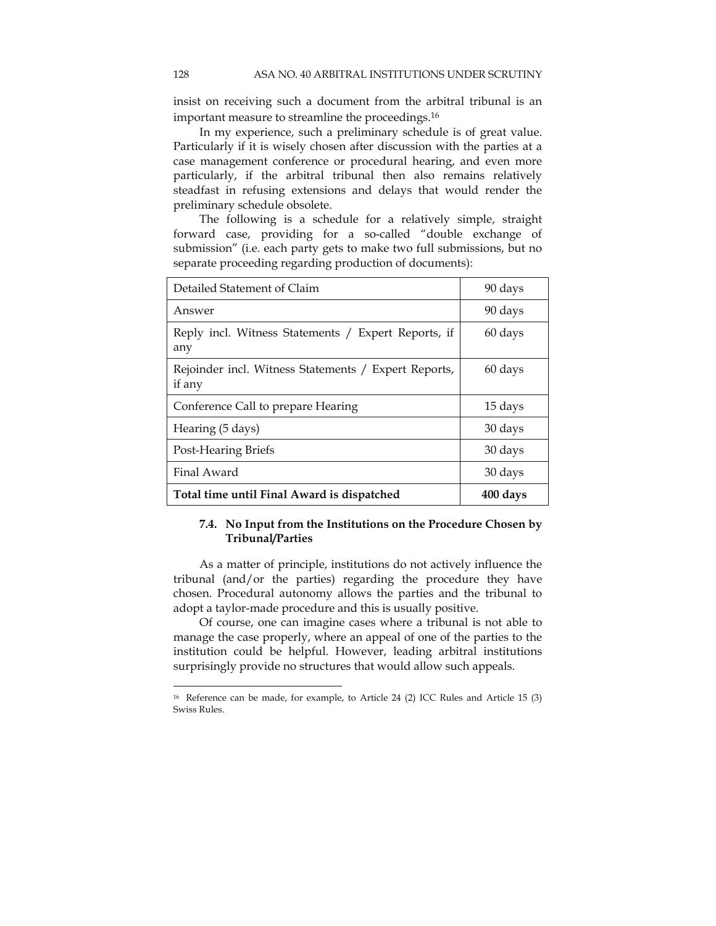insist on receiving such a document from the arbitral tribunal is an important measure to streamline the proceedings.16

In my experience, such a preliminary schedule is of great value. Particularly if it is wisely chosen after discussion with the parties at a case management conference or procedural hearing, and even more particularly, if the arbitral tribunal then also remains relatively steadfast in refusing extensions and delays that would render the preliminary schedule obsolete.

The following is a schedule for a relatively simple, straight forward case, providing for a so-called "double exchange of submission" (i.e. each party gets to make two full submissions, but no separate proceeding regarding production of documents):

| Detailed Statement of Claim                                    | 90 days  |
|----------------------------------------------------------------|----------|
| Answer                                                         | 90 days  |
| Reply incl. Witness Statements / Expert Reports, if<br>any     | 60 days  |
| Rejoinder incl. Witness Statements / Expert Reports,<br>if any | 60 days  |
| Conference Call to prepare Hearing                             | 15 days  |
| Hearing (5 days)                                               | 30 days  |
| Post-Hearing Briefs                                            | 30 days  |
| Final Award                                                    | 30 days  |
| Total time until Final Award is dispatched                     | 400 days |

# **7.4. No Input from the Institutions on the Procedure Chosen by Tribunal/Parties**

As a matter of principle, institutions do not actively influence the tribunal (and/or the parties) regarding the procedure they have chosen. Procedural autonomy allows the parties and the tribunal to adopt a taylor-made procedure and this is usually positive.

Of course, one can imagine cases where a tribunal is not able to manage the case properly, where an appeal of one of the parties to the institution could be helpful. However, leading arbitral institutions surprisingly provide no structures that would allow such appeals.

<sup>16</sup> Reference can be made, for example, to Article 24 (2) ICC Rules and Article 15 (3) Swiss Rules.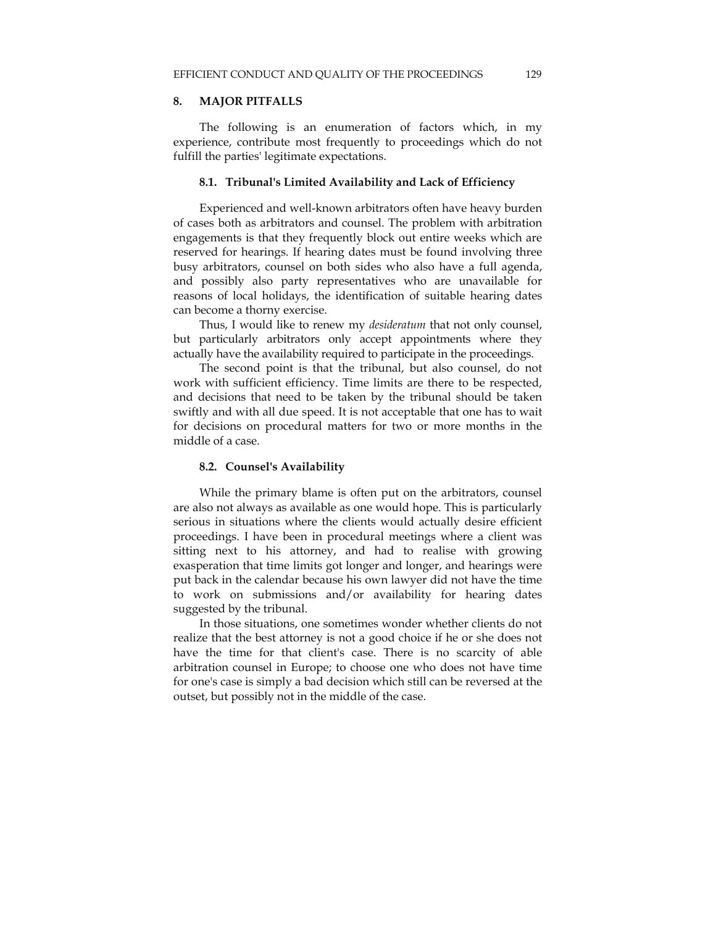#### **8. MAJOR PITFALLS**

The following is an enumeration of factors which, in my experience, contribute most frequently to proceedings which do not fulfill the parties' legitimate expectations.

#### **8.1. Tribunal's Limited Availability and Lack of Efficiency**

Experienced and well-known arbitrators often have heavy burden of cases both as arbitrators and counsel. The problem with arbitration engagements is that they frequently block out entire weeks which are reserved for hearings. If hearing dates must be found involving three busy arbitrators, counsel on both sides who also have a full agenda, and possibly also party representatives who are unavailable for reasons of local holidays, the identification of suitable hearing dates can become a thorny exercise.

Thus, I would like to renew my *desideratum* that not only counsel, but particularly arbitrators only accept appointments where they actually have the availability required to participate in the proceedings.

The second point is that the tribunal, but also counsel, do not work with sufficient efficiency. Time limits are there to be respected, and decisions that need to be taken by the tribunal should be taken swiftly and with all due speed. It is not acceptable that one has to wait for decisions on procedural matters for two or more months in the middle of a case.

### **8.2. Counsel's Availability**

While the primary blame is often put on the arbitrators, counsel are also not always as available as one would hope. This is particularly serious in situations where the clients would actually desire efficient proceedings. I have been in procedural meetings where a client was sitting next to his attorney, and had to realise with growing exasperation that time limits got longer and longer, and hearings were put back in the calendar because his own lawyer did not have the time to work on submissions and/or availability for hearing dates suggested by the tribunal.

In those situations, one sometimes wonder whether clients do not realize that the best attorney is not a good choice if he or she does not have the time for that client's case. There is no scarcity of able arbitration counsel in Europe; to choose one who does not have time for one's case is simply a bad decision which still can be reversed at the outset, but possibly not in the middle of the case.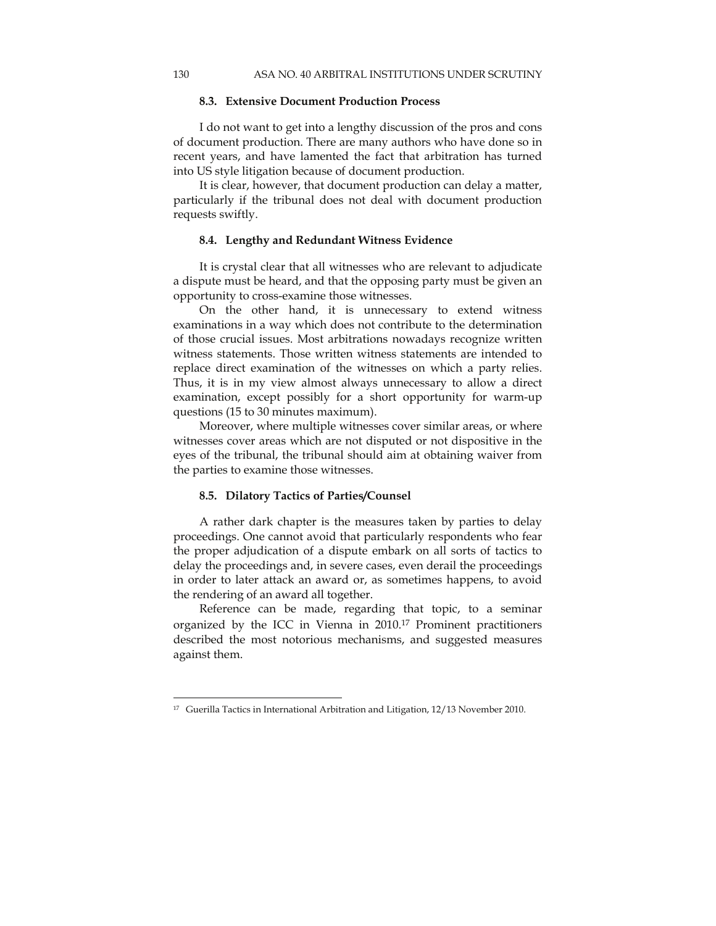#### **8.3. Extensive Document Production Process**

I do not want to get into a lengthy discussion of the pros and cons of document production. There are many authors who have done so in recent years, and have lamented the fact that arbitration has turned into US style litigation because of document production.

It is clear, however, that document production can delay a matter, particularly if the tribunal does not deal with document production requests swiftly.

#### **8.4. Lengthy and Redundant Witness Evidence**

It is crystal clear that all witnesses who are relevant to adjudicate a dispute must be heard, and that the opposing party must be given an opportunity to cross-examine those witnesses.

On the other hand, it is unnecessary to extend witness examinations in a way which does not contribute to the determination of those crucial issues. Most arbitrations nowadays recognize written witness statements. Those written witness statements are intended to replace direct examination of the witnesses on which a party relies. Thus, it is in my view almost always unnecessary to allow a direct examination, except possibly for a short opportunity for warm-up questions (15 to 30 minutes maximum).

Moreover, where multiple witnesses cover similar areas, or where witnesses cover areas which are not disputed or not dispositive in the eyes of the tribunal, the tribunal should aim at obtaining waiver from the parties to examine those witnesses.

#### **8.5. Dilatory Tactics of Parties/Counsel**

A rather dark chapter is the measures taken by parties to delay proceedings. One cannot avoid that particularly respondents who fear the proper adjudication of a dispute embark on all sorts of tactics to delay the proceedings and, in severe cases, even derail the proceedings in order to later attack an award or, as sometimes happens, to avoid the rendering of an award all together.

Reference can be made, regarding that topic, to a seminar organized by the ICC in Vienna in 2010.17 Prominent practitioners described the most notorious mechanisms, and suggested measures against them.

<sup>&</sup>lt;sup>17</sup> Guerilla Tactics in International Arbitration and Litigation, 12/13 November 2010.